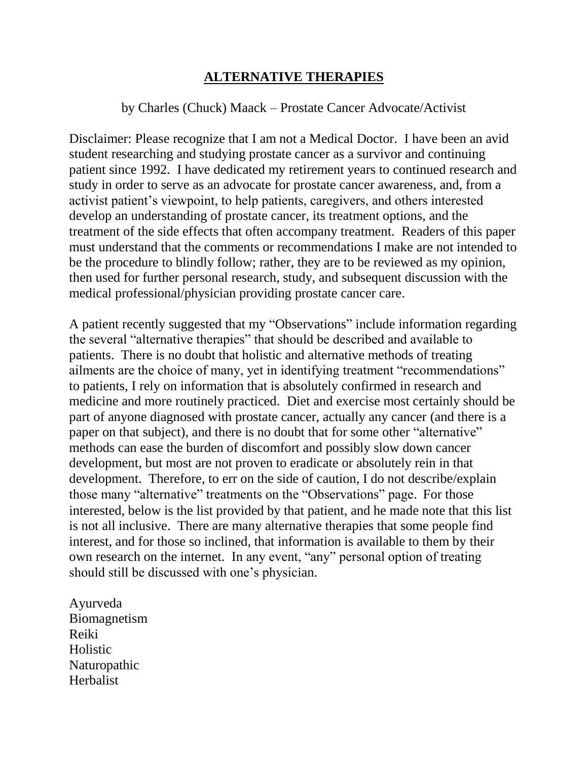## **ALTERNATIVE THERAPIES**

## by Charles (Chuck) Maack – Prostate Cancer Advocate/Activist

Disclaimer: Please recognize that I am not a Medical Doctor. I have been an avid student researching and studying prostate cancer as a survivor and continuing patient since 1992. I have dedicated my retirement years to continued research and study in order to serve as an advocate for prostate cancer awareness, and, from a activist patient's viewpoint, to help patients, caregivers, and others interested develop an understanding of prostate cancer, its treatment options, and the treatment of the side effects that often accompany treatment. Readers of this paper must understand that the comments or recommendations I make are not intended to be the procedure to blindly follow; rather, they are to be reviewed as my opinion, then used for further personal research, study, and subsequent discussion with the medical professional/physician providing prostate cancer care.

A patient recently suggested that my "Observations" include information regarding the several "alternative therapies" that should be described and available to patients. There is no doubt that holistic and alternative methods of treating ailments are the choice of many, yet in identifying treatment "recommendations" to patients, I rely on information that is absolutely confirmed in research and medicine and more routinely practiced. Diet and exercise most certainly should be part of anyone diagnosed with prostate cancer, actually any cancer (and there is a paper on that subject), and there is no doubt that for some other "alternative" methods can ease the burden of discomfort and possibly slow down cancer development, but most are not proven to eradicate or absolutely rein in that development. Therefore, to err on the side of caution, I do not describe/explain those many "alternative" treatments on the "Observations" page. For those interested, below is the list provided by that patient, and he made note that this list is not all inclusive. There are many alternative therapies that some people find interest, and for those so inclined, that information is available to them by their own research on the internet. In any event, "any" personal option of treating should still be discussed with one's physician.

Ayurveda Biomagnetism Reiki Holistic Naturopathic Herbalist